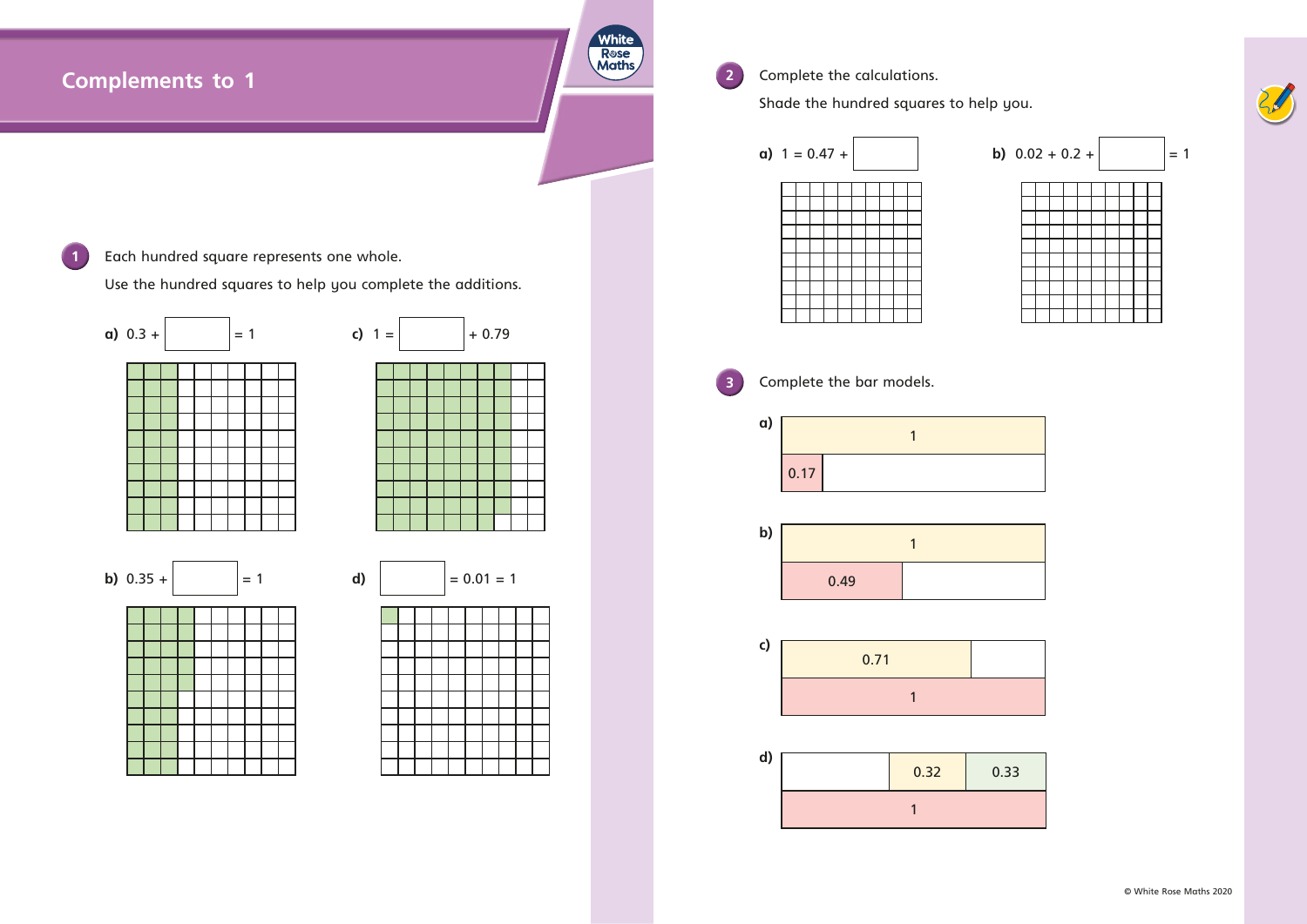## **White** Rose<br>Maths **2** Complete the calculations. **Complements to 1** Shade the hundred squares to help you. **a)**  $1 = 0.47 +$  **b)**  $0.02 + 0.2 +$   $= 1$ 1 **Each hundred square represents one whole.** Use the hundred squares to help you complete the additions. **a)** 0.3 +  $\vert$  = 1 **c)** 1 =  $\vert$  + 0.79 **3** Complete the bar models. **a)** 1 0.17 **b**) **b)**  $0.35 +$  = 1 **d)** =  $0.01 = 1$ 0.49 **c)** 0.71 1 **d)** 0.32 0.33













1